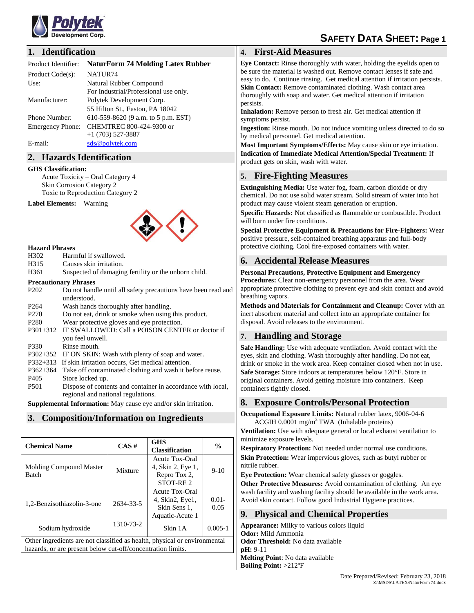

# **SAFETY DATA SHEET: Page 1**

## **1. Identification**

| Product Identifier: | <b>NaturForm 74 Molding Latex Rubber</b> |  |  |
|---------------------|------------------------------------------|--|--|
|                     |                                          |  |  |

| Product Code(s):        | NATUR <sub>74</sub>                   |
|-------------------------|---------------------------------------|
| Use:                    | Natural Rubber Compound               |
|                         | For Industrial/Professional use only. |
| Manufacturer:           | Polytek Development Corp.             |
|                         | 55 Hilton St., Easton, PA 18042       |
| Phone Number:           | 610-559-8620 (9 a.m. to 5 p.m. EST)   |
| <b>Emergency Phone:</b> | CHEMTREC 800-424-9300 or              |
|                         | $+1$ (703) 527-3887                   |
| E-mail:                 | sds@polytek.com                       |
|                         |                                       |

# **2. Hazards Identification**

#### **GHS Classification:**

Acute Toxicity – Oral Category 4 Skin Corrosion Category 2 Toxic to Reproduction Category 2

**Label Elements:** Warning



#### **Hazard Phrases**

- H302 Harmful if swallowed.<br>H315 Causes skin irritation.
- Causes skin irritation.
- H361 Suspected of damaging fertility or the unborn child.

#### **Precautionary Phrases**

| P <sub>202</sub> | Do not handle until all safety precautions have been read and<br>understood. |
|------------------|------------------------------------------------------------------------------|
| P <sub>264</sub> | Wash hands thoroughly after handling.                                        |
| P <sub>270</sub> | Do not eat, drink or smoke when using this product.                          |
| P <sub>280</sub> | Wear protective gloves and eye protection.                                   |
|                  | P301+312 IF SWALLOWED: Call a POISON CENTER or doctor if                     |
|                  | you feel unwell.                                                             |
| P330             | Rinse mouth.                                                                 |
|                  | P302+352 IF ON SKIN: Wash with plenty of soap and water.                     |
| $P332+313$       | If skin irritation occurs, Get medical attention.                            |
| $P362+364$       | Take off contaminated clothing and wash it before reuse.                     |
| P <sub>405</sub> | Store locked up.                                                             |
| <b>P501</b>      | Dispose of contents and container in accordance with local,                  |
|                  | regional and national regulations.                                           |

**Supplemental Information:** May cause eye and/or skin irritation.

## **3. Composition/Information on Ingredients**

| <b>Chemical Name</b>                                                                                                                     | $CAS \#$  | <b>GHS</b><br><b>Classification</b>                                  | $\frac{0}{0}$    |  |  |
|------------------------------------------------------------------------------------------------------------------------------------------|-----------|----------------------------------------------------------------------|------------------|--|--|
| Molding Compound Master<br><b>Batch</b>                                                                                                  | Mixture   | Acute Tox-Oral<br>4, Skin 2, Eye 1,<br>Repro Tox 2,<br>STOT-RE2      | $9-10$           |  |  |
| 1,2-Benzisothiazolin-3-one                                                                                                               | 2634-33-5 | Acute Tox-Oral<br>4, Skin2, Eye1,<br>Skin Sens 1.<br>Aquatic-Acute 1 | $0.01 -$<br>0.05 |  |  |
| Sodium hydroxide                                                                                                                         | 1310-73-2 | Skin 1A                                                              | $0.005 - 1$      |  |  |
| Other ingredients are not classified as health, physical or environmental<br>hazards, or are present below cut-off/concentration limits. |           |                                                                      |                  |  |  |

# **4. First-Aid Measures**

**Eye Contact:** Rinse thoroughly with water, holding the eyelids open to be sure the material is washed out. Remove contact lenses if safe and easy to do. Continue rinsing. Get medical attention if irritation persists. **Skin Contact:** Remove contaminated clothing. Wash contact area thoroughly with soap and water. Get medical attention if irritation persists.

**Inhalation:** Remove person to fresh air. Get medical attention if symptoms persist.

**Ingestion:** Rinse mouth. Do not induce vomiting unless directed to do so by medical personnel. Get medical attention.

**Most Important Symptoms/Effects:** May cause skin or eye irritation. **Indication of Immediate Medical Attention/Special Treatment:** If product gets on skin, wash with water.

# **5. Fire-Fighting Measures**

**Extinguishing Media:** Use water fog, foam, carbon dioxide or dry chemical. Do not use solid water stream. Solid stream of water into hot product may cause violent steam generation or eruption.

**Specific Hazards:** Not classified as flammable or combustible. Product will burn under fire conditions.

**Special Protective Equipment & Precautions for Fire-Fighters:** Wear positive pressure, self-contained breathing apparatus and full-body protective clothing. Cool fire-exposed containers with water.

#### **6. Accidental Release Measures**

**Personal Precautions, Protective Equipment and Emergency Procedures:** Clear non-emergency personnel from the area. Wear appropriate protective clothing to prevent eye and skin contact and avoid breathing vapors.

**Methods and Materials for Containment and Cleanup:** Cover with an inert absorbent material and collect into an appropriate container for disposal. Avoid releases to the environment.

# **7. Handling and Storage**

**Safe Handling:** Use with adequate ventilation. Avoid contact with the eyes, skin and clothing. Wash thoroughly after handling. Do not eat, drink or smoke in the work area. Keep container closed when not in use. **Safe Storage:** Store indoors at temperatures below 120°F. Store in original containers. Avoid getting moisture into containers. Keep containers tightly closed.

## **8. Exposure Controls/Personal Protection**

**Occupational Exposure Limits:** Natural rubber latex, 9006-04-6  $ACGIH 0.0001$  mg/m<sup>3</sup> TWA (Inhalable proteins)

**Ventilation:** Use with adequate general or local exhaust ventilation to minimize exposure levels.

**Respiratory Protection:** Not needed under normal use conditions. **Skin Protection:** Wear impervious gloves, such as butyl rubber or nitrile rubber.

**Eye Protection:** Wear chemical safety glasses or goggles.

**Other Protective Measures:** Avoid contamination of clothing. An eye wash facility and washing facility should be available in the work area. Avoid skin contact. Follow good Industrial Hygiene practices.

## **9. Physical and Chemical Properties**

**Appearance:** Milky to various colors liquid **Odor:** Mild Ammonia **Odor Threshold:** No data available **pH:** 9-11 **Melting Point**: No data available **Boiling Point:** >212ºF